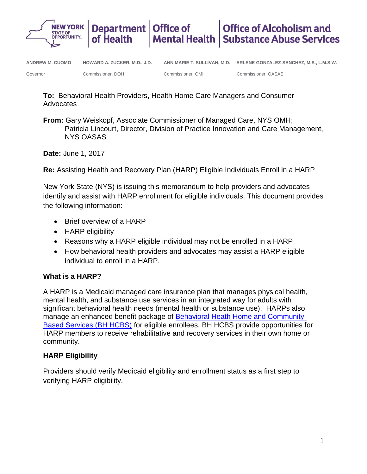

**To:** Behavioral Health Providers, Health Home Care Managers and Consumer Advocates

**From:** Gary Weiskopf, Associate Commissioner of Managed Care, NYS OMH; Patricia Lincourt, Director, Division of Practice Innovation and Care Management, NYS OASAS

**Date:** June 1, 2017

**Re:** Assisting Health and Recovery Plan (HARP) Eligible Individuals Enroll in a HARP

New York State (NYS) is issuing this memorandum to help providers and advocates identify and assist with HARP enrollment for eligible individuals. This document provides the following information:

- Brief overview of a HARP
- HARP eligibility
- Reasons why a HARP eligible individual may not be enrolled in a HARP
- How behavioral health providers and advocates may assist a HARP eligible individual to enroll in a HARP.

## **What is a HARP?**

A HARP is a Medicaid managed care insurance plan that manages physical health, mental health, and substance use services in an integrated way for adults with significant behavioral health needs (mental health or substance use). HARPs also manage an enhanced benefit package of [Behavioral Heath Home and Community-](https://www.omh.ny.gov/omhweb/bho/hcbs.html)[Based Services \(BH HCBS\)](https://www.omh.ny.gov/omhweb/bho/hcbs.html) for eligible enrollees. BH HCBS provide opportunities for HARP members to receive rehabilitative and recovery services in their own home or community.

# **HARP Eligibility**

Providers should verify Medicaid eligibility and enrollment status as a first step to verifying HARP eligibility.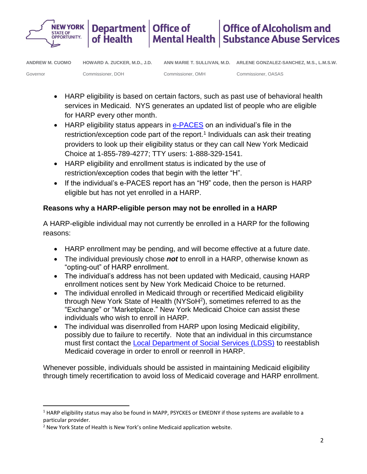

**ANDREW M. CUOMO HOWARD A. ZUCKER, M.D., J.D.**

Commissioner, DOH

Governor

 $\overline{\phantom{a}}$ 

Commissioner, OMH Commissioner, OASAS

- HARP eligibility is based on certain factors, such as past use of behavioral health services in Medicaid. NYS generates an updated list of people who are eligible for HARP every other month.
- HARP eligibility status appears in [e-PACES](https://www.emedny.org/epaces/) on an individual's file in the restriction/exception code part of the report.<sup>1</sup> Individuals can ask their treating providers to look up their eligibility status or they can call New York Medicaid Choice at 1-855-789-4277; TTY users: 1-888-329-1541.
- HARP eligibility and enrollment status is indicated by the use of restriction/exception codes that begin with the letter "H".
- If the individual's e-PACES report has an "H9" code, then the person is HARP eligible but has not yet enrolled in a HARP.

# **Reasons why a HARP-eligible person may not be enrolled in a HARP**

A HARP-eligible individual may not currently be enrolled in a HARP for the following reasons:

- HARP enrollment may be pending, and will become effective at a future date.
- The individual previously chose *not* to enroll in a HARP, otherwise known as "opting-out" of HARP enrollment.
- The individual's address has not been updated with Medicaid, causing HARP enrollment notices sent by New York Medicaid Choice to be returned.
- The individual enrolled in Medicaid through or recertified Medicaid eligibility through New York State of Health (NYSoH<sup>2</sup>), sometimes referred to as the "Exchange" or "Marketplace." New York Medicaid Choice can assist these individuals who wish to enroll in HARP.
- The individual was disenrolled from HARP upon losing Medicaid eligibility, possibly due to failure to recertify. Note that an individual in this circumstance must first contact the [Local Department of Social Services \(LDSS\)](https://www.health.ny.gov/health_care/medicaid/ldss.htm) to reestablish Medicaid coverage in order to enroll or reenroll in HARP.

Whenever possible, individuals should be assisted in maintaining Medicaid eligibility through timely recertification to avoid loss of Medicaid coverage and HARP enrollment.

 $1$  HARP eligibility status may also be found in MAPP, PSYCKES or EMEDNY if those systems are available to a particular provider.

<sup>2</sup> New York State of Health is New York's online Medicaid application website.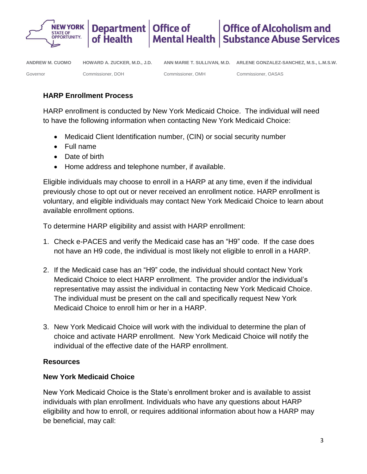

## **HARP Enrollment Process**

HARP enrollment is conducted by New York Medicaid Choice. The individual will need to have the following information when contacting New York Medicaid Choice:

- Medicaid Client Identification number, (CIN) or social security number
- Full name
- Date of birth
- Home address and telephone number, if available.

Eligible individuals may choose to enroll in a HARP at any time, even if the individual previously chose to opt out or never received an enrollment notice. HARP enrollment is voluntary, and eligible individuals may contact New York Medicaid Choice to learn about available enrollment options.

To determine HARP eligibility and assist with HARP enrollment:

- 1. Check [e-PACES](https://www.emedny.org/epaces/) and verify the Medicaid case has an "H9" code. If the case does not have an H9 code, the individual is most likely not eligible to enroll in a HARP.
- 2. If the Medicaid case has an "H9" code, the individual should contact New York Medicaid Choice to elect HARP enrollment. The provider and/or the individual's representative may assist the individual in contacting New York Medicaid Choice. The individual must be present on the call and specifically request New York Medicaid Choice to enroll him or her in a HARP.
- 3. New York Medicaid Choice will work with the individual to determine the plan of choice and activate HARP enrollment. New York Medicaid Choice will notify the individual of the effective date of the HARP enrollment.

## **Resources**

### **New York Medicaid Choice**

New York Medicaid Choice is the State's enrollment broker and is available to assist individuals with plan enrollment. Individuals who have any questions about HARP eligibility and how to enroll, or requires additional information about how a HARP may be beneficial, may call: